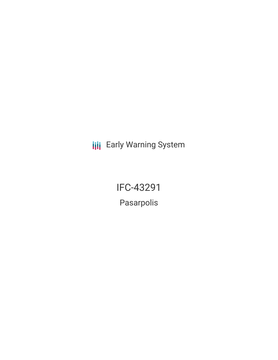**III** Early Warning System

IFC-43291

Pasarpolis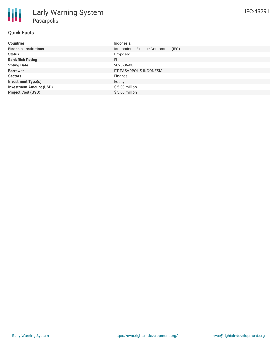| <b>Countries</b>               | Indonesia                               |
|--------------------------------|-----------------------------------------|
| <b>Financial Institutions</b>  | International Finance Corporation (IFC) |
| <b>Status</b>                  | Proposed                                |
| <b>Bank Risk Rating</b>        | <b>FI</b>                               |
| <b>Voting Date</b>             | 2020-06-08                              |
| <b>Borrower</b>                | PT PASARPOLIS INDONESIA                 |
| <b>Sectors</b>                 | Finance                                 |
| <b>Investment Type(s)</b>      | Equity                                  |
| <b>Investment Amount (USD)</b> | $$5.00$ million                         |
| <b>Project Cost (USD)</b>      | $$5.00$ million                         |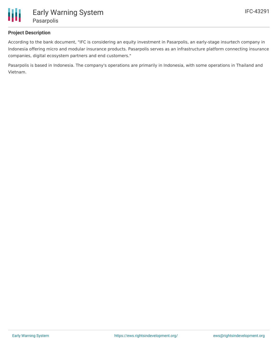

# **Project Description**

According to the bank document, "IFC is considering an equity investment in Pasarpolis, an early-stage insurtech company in Indonesia offering micro and modular insurance products. Pasarpolis serves as an infrastructure platform connecting insurance companies, digital ecosystem partners and end customers."

Pasarpolis is based in Indonesia. The company's operations are primarily in Indonesia, with some operations in Thailand and Vietnam.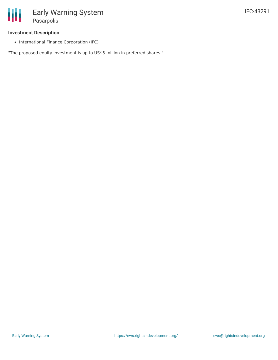### **Investment Description**

• International Finance Corporation (IFC)

"The proposed equity investment is up to US\$5 million in preferred shares."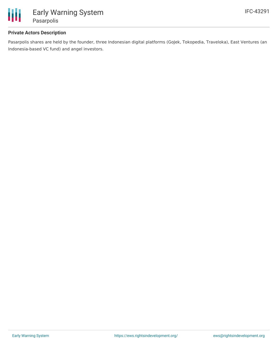

# **Private Actors Description**

Pasarpolis shares are held by the founder, three Indonesian digital platforms (GoJek, Tokopedia, Traveloka), East Ventures (an Indonesia-based VC fund) and angel investors.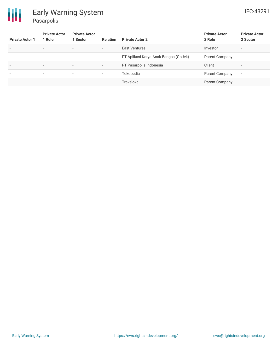

| <b>Private Actor 1</b>   | <b>Private Actor</b><br>1 Role | <b>Private Actor</b><br>1 Sector | <b>Relation</b>          | <b>Private Actor 2</b>                | <b>Private Actor</b><br>2 Role | <b>Private Actor</b><br>2 Sector |
|--------------------------|--------------------------------|----------------------------------|--------------------------|---------------------------------------|--------------------------------|----------------------------------|
| $\overline{\phantom{a}}$ | $\overline{\phantom{0}}$       | $\overline{\phantom{0}}$         | $\sim$                   | East Ventures                         | Investor                       | $\overline{\phantom{0}}$         |
| $\overline{\phantom{a}}$ | $\overline{\phantom{a}}$       | $\overline{\phantom{a}}$         | $\overline{\phantom{a}}$ | PT Aplikasi Karya Anak Bangsa (GoJek) | Parent Company                 | $\overline{\phantom{a}}$         |
| $\overline{\phantom{0}}$ | ۰.                             | $\overline{\phantom{0}}$         | $\overline{\phantom{0}}$ | PT Pasarpolis Indonesia               | Client                         |                                  |
| $\overline{\phantom{a}}$ | ۰                              | $\overline{\phantom{a}}$         | $\overline{\phantom{a}}$ | Tokopedia                             | Parent Company                 | $\overline{\phantom{a}}$         |
| $\overline{\phantom{a}}$ | ۰.                             | $\overline{\phantom{a}}$         | $\overline{\phantom{a}}$ | Traveloka                             | Parent Company                 | $\overline{\phantom{a}}$         |